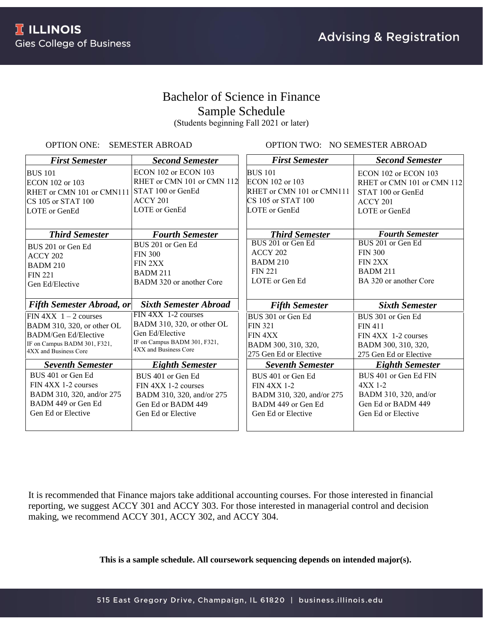# Bachelor of Science in Finance Sample Schedule

(Students beginning Fall 2021 or later)

### OPTION ONE: SEMESTER ABROAD

OPTION TWO: NO SEMESTER ABROAD

| <b>First Semester</b>            | <b>Second Semester</b>                                | <b>First Semester</b>     | <b>Second Semester</b>     |
|----------------------------------|-------------------------------------------------------|---------------------------|----------------------------|
| <b>BUS 101</b>                   | ECON 102 or ECON 103                                  | <b>BUS 101</b>            | ECON 102 or ECON 103       |
| ECON 102 or 103                  | RHET or CMN 101 or CMN 112                            | ECON 102 or 103           | RHET or CMN 101 or CMN 112 |
| RHET or CMN 101 or CMN111        | STAT 100 or GenEd                                     | RHET or CMN 101 or CMN111 | STAT 100 or GenEd          |
| CS 105 or STAT 100               | ACCY 201                                              | CS 105 or STAT 100        | $ACCY$ 201                 |
| LOTE or GenEd                    | LOTE or GenEd                                         | LOTE or GenEd             | LOTE or GenEd              |
|                                  |                                                       |                           |                            |
| <b>Third Semester</b>            | <b>Fourth Semester</b>                                | <b>Third Semester</b>     | <b>Fourth Semester</b>     |
| BUS 201 or Gen Ed                | BUS 201 or Gen Ed                                     | BUS 201 or Gen Ed         | BUS 201 or Gen Ed          |
| ACCY 202                         | <b>FIN 300</b>                                        | ACCY 202                  | <b>FIN 300</b>             |
| <b>BADM 210</b>                  | FIN 2XX                                               | <b>BADM 210</b>           | FIN 2XX                    |
| <b>FIN 221</b>                   | <b>BADM 211</b>                                       | <b>FIN 221</b>            | <b>BADM 211</b>            |
| Gen Ed/Elective                  | BADM 320 or another Core                              | LOTE or Gen Ed            | BA 320 or another Core     |
|                                  |                                                       |                           |                            |
| <b>Fifth Semester Abroad, or</b> | <b>Sixth Semester Abroad</b>                          | <b>Fifth Semester</b>     | <b>Sixth Semester</b>      |
| FIN $4XX$ 1 – 2 courses          | FIN 4XX 1-2 courses                                   | BUS 301 or Gen Ed         | BUS 301 or Gen Ed          |
| BADM 310, 320, or other OL       | BADM 310, 320, or other OL                            | <b>FIN 321</b>            | <b>FIN 411</b>             |
| <b>BADM/Gen Ed/Elective</b>      | Gen Ed/Elective                                       | FIN 4XX                   | FIN 4XX 1-2 courses        |
| IF on Campus BADM 301, F321,     | IF on Campus BADM 301, F321,<br>4XX and Business Core | BADM 300, 310, 320,       | BADM 300, 310, 320,        |
| 4XX and Business Core            |                                                       | 275 Gen Ed or Elective    | 275 Gen Ed or Elective     |
| <b>Seventh Semester</b>          | <b>Eighth Semester</b>                                | <b>Seventh Semester</b>   | <b>Eighth Semester</b>     |
| BUS 401 or Gen Ed                | BUS 401 or Gen Ed                                     | BUS 401 or Gen Ed         | BUS 401 or Gen Ed FIN      |
| FIN 4XX 1-2 courses              | FIN 4XX 1-2 courses                                   | <b>FIN 4XX 1-2</b>        | $4XX$ 1-2                  |
| BADM 310, 320, and/or 275        | BADM 310, 320, and/or 275                             | BADM 310, 320, and/or 275 | BADM 310, 320, and/or      |
| BADM 449 or Gen Ed               | Gen Ed or BADM 449                                    | BADM 449 or Gen Ed        | Gen Ed or BADM 449         |
| Gen Ed or Elective               | Gen Ed or Elective                                    | Gen Ed or Elective        | Gen Ed or Elective         |
|                                  |                                                       |                           |                            |

It is recommended that Finance majors take additional accounting courses. For those interested in financial reporting, we suggest ACCY 301 and ACCY 303. For those interested in managerial control and decision making, we recommend ACCY 301, ACCY 302, and ACCY 304.

**This is a sample schedule. All coursework sequencing depends on intended major(s).**